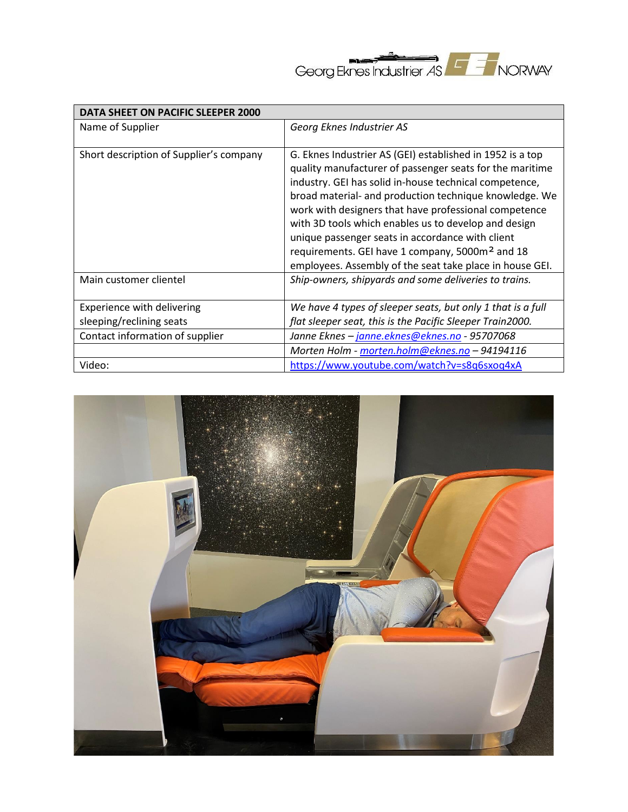

| DATA SHEET ON PACIFIC SLEEPER 2000      |                                                                                                                                                                                                                                                                                                                                                                                                                                                                                                                                           |  |
|-----------------------------------------|-------------------------------------------------------------------------------------------------------------------------------------------------------------------------------------------------------------------------------------------------------------------------------------------------------------------------------------------------------------------------------------------------------------------------------------------------------------------------------------------------------------------------------------------|--|
| Name of Supplier                        | Georg Eknes Industrier AS                                                                                                                                                                                                                                                                                                                                                                                                                                                                                                                 |  |
| Short description of Supplier's company | G. Eknes Industrier AS (GEI) established in 1952 is a top<br>quality manufacturer of passenger seats for the maritime<br>industry. GEI has solid in-house technical competence,<br>broad material- and production technique knowledge. We<br>work with designers that have professional competence<br>with 3D tools which enables us to develop and design<br>unique passenger seats in accordance with client<br>requirements. GEI have 1 company, 5000m <sup>2</sup> and 18<br>employees. Assembly of the seat take place in house GEI. |  |
| Main customer clientel                  | Ship-owners, shipyards and some deliveries to trains.                                                                                                                                                                                                                                                                                                                                                                                                                                                                                     |  |
| Experience with delivering              | We have 4 types of sleeper seats, but only 1 that is a full                                                                                                                                                                                                                                                                                                                                                                                                                                                                               |  |
| sleeping/reclining seats                | flat sleeper seat, this is the Pacific Sleeper Train2000.                                                                                                                                                                                                                                                                                                                                                                                                                                                                                 |  |
| Contact information of supplier         | Janne Eknes - janne.eknes@eknes.no - 95707068                                                                                                                                                                                                                                                                                                                                                                                                                                                                                             |  |
|                                         | Morten Holm - morten.holm@eknes.no - 94194116                                                                                                                                                                                                                                                                                                                                                                                                                                                                                             |  |
| Video:                                  | https://www.youtube.com/watch?v=s8q6sxoq4xA                                                                                                                                                                                                                                                                                                                                                                                                                                                                                               |  |

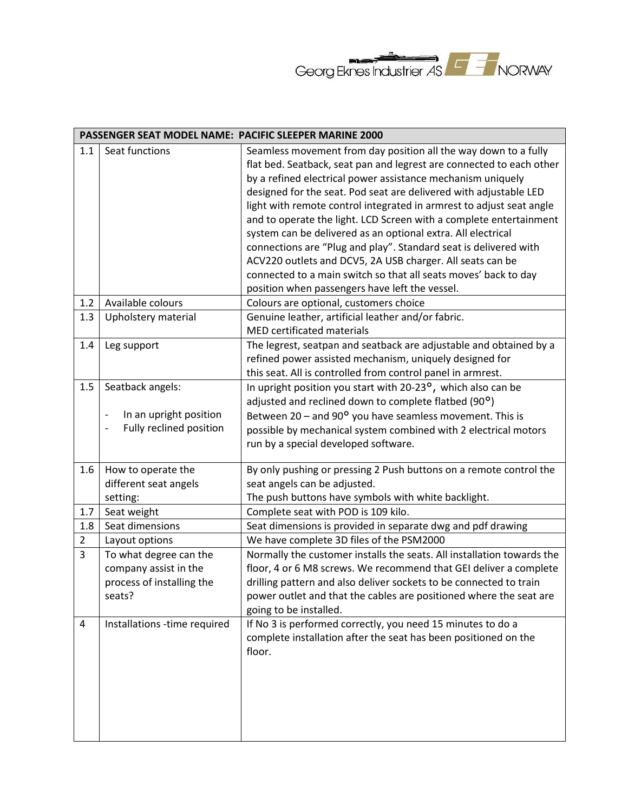

| PASSENGER SEAT MODEL NAME: PACIFIC SLEEPER MARINE 2000 |                                                                                                          |                                                                                                                                                                                                                                                                                                                                                                                                                                                                                                                                                                                                                                                                                                                                                 |  |
|--------------------------------------------------------|----------------------------------------------------------------------------------------------------------|-------------------------------------------------------------------------------------------------------------------------------------------------------------------------------------------------------------------------------------------------------------------------------------------------------------------------------------------------------------------------------------------------------------------------------------------------------------------------------------------------------------------------------------------------------------------------------------------------------------------------------------------------------------------------------------------------------------------------------------------------|--|
| 1.1                                                    | Seat functions                                                                                           | Seamless movement from day position all the way down to a fully<br>flat bed. Seatback, seat pan and legrest are connected to each other<br>by a refined electrical power assistance mechanism uniquely<br>designed for the seat. Pod seat are delivered with adjustable LED<br>light with remote control integrated in armrest to adjust seat angle<br>and to operate the light. LCD Screen with a complete entertainment<br>system can be delivered as an optional extra. All electrical<br>connections are "Plug and play". Standard seat is delivered with<br>ACV220 outlets and DCV5, 2A USB charger. All seats can be<br>connected to a main switch so that all seats moves' back to day<br>position when passengers have left the vessel. |  |
| 1.2                                                    | Available colours                                                                                        | Colours are optional, customers choice                                                                                                                                                                                                                                                                                                                                                                                                                                                                                                                                                                                                                                                                                                          |  |
| 1.3                                                    | Upholstery material                                                                                      | Genuine leather, artificial leather and/or fabric.<br><b>MED certificated materials</b>                                                                                                                                                                                                                                                                                                                                                                                                                                                                                                                                                                                                                                                         |  |
| 1.4                                                    | Leg support                                                                                              | The legrest, seatpan and seatback are adjustable and obtained by a<br>refined power assisted mechanism, uniquely designed for<br>this seat. All is controlled from control panel in armrest.                                                                                                                                                                                                                                                                                                                                                                                                                                                                                                                                                    |  |
| 1.5                                                    | Seatback angels:<br>In an upright position<br>Fully reclined position                                    | In upright position you start with 20-23°, which also can be<br>adjusted and reclined down to complete flatbed (90°)<br>Between $20 -$ and $90^{\circ}$ you have seamless movement. This is<br>possible by mechanical system combined with 2 electrical motors<br>run by a special developed software.                                                                                                                                                                                                                                                                                                                                                                                                                                          |  |
| 1.6                                                    | How to operate the<br>different seat angels<br>setting:                                                  | By only pushing or pressing 2 Push buttons on a remote control the<br>seat angels can be adjusted.<br>The push buttons have symbols with white backlight.                                                                                                                                                                                                                                                                                                                                                                                                                                                                                                                                                                                       |  |
| 1.7                                                    | Seat weight                                                                                              | Complete seat with POD is 109 kilo.                                                                                                                                                                                                                                                                                                                                                                                                                                                                                                                                                                                                                                                                                                             |  |
| 1.8                                                    | Seat dimensions                                                                                          | Seat dimensions is provided in separate dwg and pdf drawing                                                                                                                                                                                                                                                                                                                                                                                                                                                                                                                                                                                                                                                                                     |  |
| $\overline{2}$<br>3                                    | Layout options<br>To what degree can the<br>company assist in the<br>process of installing the<br>seats? | We have complete 3D files of the PSM2000<br>Normally the customer installs the seats. All installation towards the<br>floor, 4 or 6 M8 screws. We recommend that GEI deliver a complete<br>drilling pattern and also deliver sockets to be connected to train<br>power outlet and that the cables are positioned where the seat are<br>going to be installed.                                                                                                                                                                                                                                                                                                                                                                                   |  |
| 4                                                      | Installations -time required                                                                             | If No 3 is performed correctly, you need 15 minutes to do a<br>complete installation after the seat has been positioned on the<br>floor.                                                                                                                                                                                                                                                                                                                                                                                                                                                                                                                                                                                                        |  |